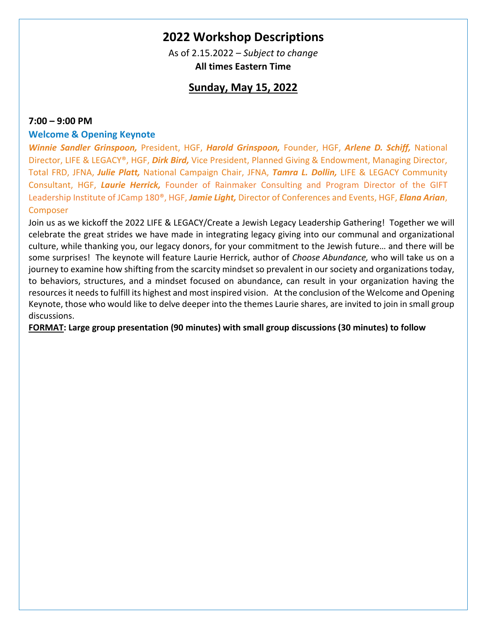# **2022 Workshop Descriptions**

As of 2.15.2022 – *Subject to change* **All times Eastern Time**

# **Sunday, May 15, 2022**

## **7:00 – 9:00 PM**

## **Welcome & Opening Keynote**

*Winnie Sandler Grinspoon,* President, HGF, *Harold Grinspoon,* Founder, HGF, *Arlene D. Schiff,* National Director, LIFE & LEGACY®, HGF, *Dirk Bird,* Vice President, Planned Giving & Endowment, Managing Director, Total FRD, JFNA, *Julie Platt,* National Campaign Chair, JFNA, *Tamra L. Dollin,* LIFE & LEGACY Community Consultant, HGF, *Laurie Herrick,* Founder of Rainmaker Consulting and Program Director of the GIFT Leadership Institute of JCamp 180®, HGF, *Jamie Light,* Director of Conferences and Events, HGF, *Elana Arian*, **Composer** 

Join us as we kickoff the 2022 LIFE & LEGACY/Create a Jewish Legacy Leadership Gathering! Together we will celebrate the great strides we have made in integrating legacy giving into our communal and organizational culture, while thanking you, our legacy donors, for your commitment to the Jewish future… and there will be some surprises! The keynote will feature Laurie Herrick, author of *Choose Abundance,* who will take us on a journey to examine how shifting from the scarcity mindset so prevalent in our society and organizations today, to behaviors, structures, and a mindset focused on abundance, can result in your organization having the resources it needs to fulfill its highest and most inspired vision. At the conclusion of the Welcome and Opening Keynote, those who would like to delve deeper into the themes Laurie shares, are invited to join in small group discussions.

**FORMAT: Large group presentation (90 minutes) with small group discussions (30 minutes) to follow**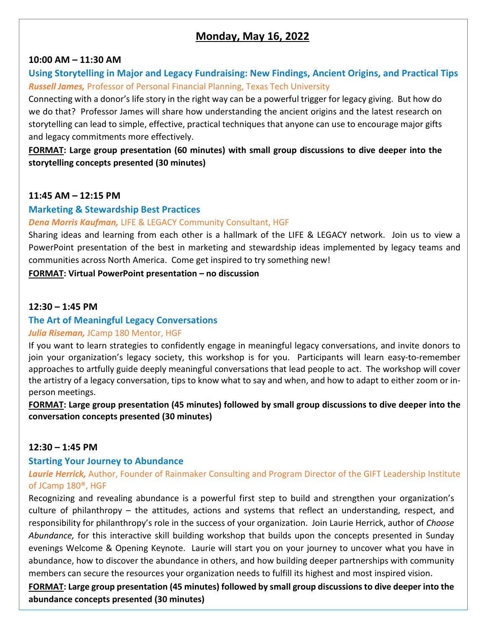# **Monday, May 16, 2022**

#### **10:00 AM – 11:30 AM**

# **Using Storytelling in Major and Legacy Fundraising: New Findings, Ancient Origins, and Practical Tips** *Russell James,* Professor of Personal Financial Planning, Texas Tech University

Connecting with a donor's life story in the right way can be a powerful trigger for legacy giving. But how do we do that? Professor James will share how understanding the ancient origins and the latest research on storytelling can lead to simple, effective, practical techniques that anyone can use to encourage major gifts and legacy commitments more effectively.

**FORMAT: Large group presentation (60 minutes) with small group discussions to dive deeper into the storytelling concepts presented (30 minutes)**

### **11:45 AM – 12:15 PM**

### **Marketing & Stewardship Best Practices**

### *Dena Morris Kaufman,* LIFE & LEGACY Community Consultant, HGF

Sharing ideas and learning from each other is a hallmark of the LIFE & LEGACY network. Join us to view a PowerPoint presentation of the best in marketing and stewardship ideas implemented by legacy teams and communities across North America. Come get inspired to try something new!

**FORMAT: Virtual PowerPoint presentation – no discussion**

### **12:30 – 1:45 PM**

# **The Art of Meaningful Legacy Conversations**

#### *Julia Riseman,* JCamp 180 Mentor, HGF

If you want to learn strategies to confidently engage in meaningful legacy conversations, and invite donors to join your organization's legacy society, this workshop is for you. Participants will learn easy-to-remember approaches to artfully guide deeply meaningful conversations that lead people to act. The workshop will cover the artistry of a legacy conversation, tips to know what to say and when, and how to adapt to either zoom or inperson meetings.

**FORMAT: Large group presentation (45 minutes) followed by small group discussions to dive deeper into the conversation concepts presented (30 minutes)** 

#### **12:30 – 1:45 PM**

#### **Starting Your Journey to Abundance**

*Laurie Herrick,* Author, Founder of Rainmaker Consulting and Program Director of the GIFT Leadership Institute of JCamp 180®, HGF

Recognizing and revealing abundance is a powerful first step to build and strengthen your organization's culture of philanthropy – the attitudes, actions and systems that reflect an understanding, respect, and responsibility for philanthropy's role in the success of your organization. Join Laurie Herrick, author of *Choose Abundance,* for this interactive skill building workshop that builds upon the concepts presented in Sunday evenings Welcome & Opening Keynote. Laurie will start you on your journey to uncover what you have in abundance, how to discover the abundance in others, and how building deeper partnerships with community members can secure the resources your organization needs to fulfill its highest and most inspired vision.

**FORMAT: Large group presentation (45 minutes) followed by small group discussions to dive deeper into the abundance concepts presented (30 minutes)**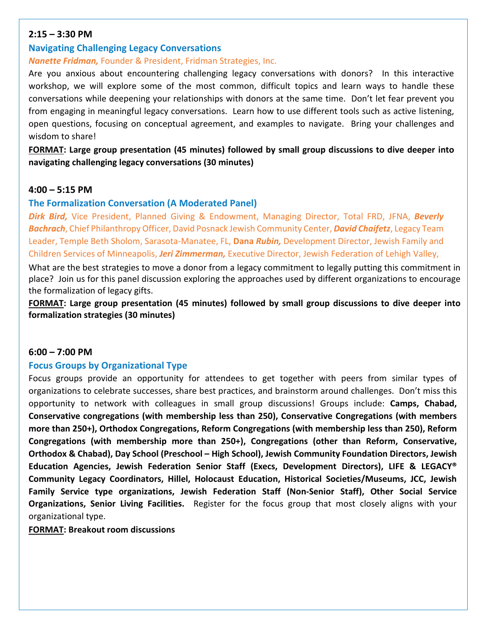## **2:15 – 3:30 PM**

# **Navigating Challenging Legacy Conversations**

# *Nanette Fridman,* Founder & President, Fridman Strategies, Inc.

Are you anxious about encountering challenging legacy conversations with donors? In this interactive workshop, we will explore some of the most common, difficult topics and learn ways to handle these conversations while deepening your relationships with donors at the same time. Don't let fear prevent you from engaging in meaningful legacy conversations. Learn how to use different tools such as active listening, open questions, focusing on conceptual agreement, and examples to navigate. Bring your challenges and wisdom to share!

**FORMAT: Large group presentation (45 minutes) followed by small group discussions to dive deeper into navigating challenging legacy conversations (30 minutes)**

# **4:00 – 5:15 PM**

# **The Formalization Conversation (A Moderated Panel)**

*Dirk Bird,* Vice President, Planned Giving & Endowment, Managing Director, Total FRD, JFNA, *Beverly Bachrach*, Chief Philanthropy Officer, David Posnack Jewish Community Center, *David Chaifetz*, Legacy Team Leader, Temple Beth Sholom, Sarasota-Manatee, FL, **Dana** *Rubin,* Development Director, Jewish Family and Children Services of Minneapolis, *Jeri Zimmerman,* Executive Director, Jewish Federation of Lehigh Valley,

What are the best strategies to move a donor from a legacy commitment to legally putting this commitment in place? Join us for this panel discussion exploring the approaches used by different organizations to encourage the formalization of legacy gifts.

**FORMAT: Large group presentation (45 minutes) followed by small group discussions to dive deeper into formalization strategies (30 minutes)** 

#### **6:00 – 7:00 PM**

#### **Focus Groups by Organizational Type**

Focus groups provide an opportunity for attendees to get together with peers from similar types of organizations to celebrate successes, share best practices, and brainstorm around challenges. Don't miss this opportunity to network with colleagues in small group discussions! Groups include: **Camps, Chabad, Conservative congregations (with membership less than 250), Conservative Congregations (with members more than 250+), Orthodox Congregations, Reform Congregations (with membership less than 250), Reform Congregations (with membership more than 250+), Congregations (other than Reform, Conservative, Orthodox & Chabad), Day School (Preschool – High School), Jewish Community Foundation Directors, Jewish Education Agencies, Jewish Federation Senior Staff (Execs, Development Directors), LIFE & LEGACY® Community Legacy Coordinators, Hillel, Holocaust Education, Historical Societies/Museums, JCC, Jewish Family Service type organizations, Jewish Federation Staff (Non-Senior Staff), Other Social Service Organizations, Senior Living Facilities.** Register for the focus group that most closely aligns with your organizational type.

#### **FORMAT: Breakout room discussions**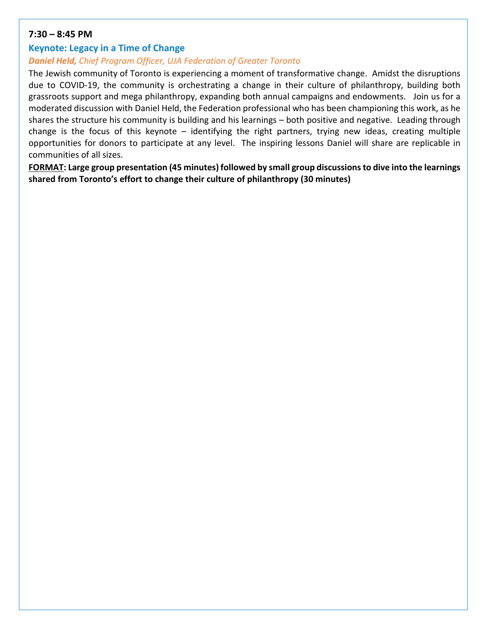# **7:30 – 8:45 PM**

# **Keynote: Legacy in a Time of Change**

# *Daniel Held, Chief Program Officer, UJA Federation of Greater Toronto*

The Jewish community of Toronto is experiencing a moment of transformative change. Amidst the disruptions due to COVID-19, the community is orchestrating a change in their culture of philanthropy, building both grassroots support and mega philanthropy, expanding both annual campaigns and endowments. Join us for a moderated discussion with Daniel Held, the Federation professional who has been championing this work, as he shares the structure his community is building and his learnings – both positive and negative. Leading through change is the focus of this keynote – identifying the right partners, trying new ideas, creating multiple opportunities for donors to participate at any level. The inspiring lessons Daniel will share are replicable in communities of all sizes.

**FORMAT: Large group presentation (45 minutes) followed by small group discussions to dive into the learnings shared from Toronto's effort to change their culture of philanthropy (30 minutes)**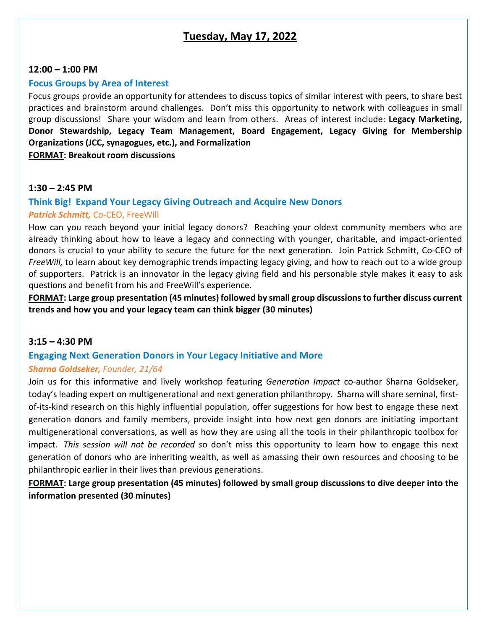# **Tuesday, May 17, 2022**

#### **12:00 – 1:00 PM**

### **Focus Groups by Area of Interest**

Focus groups provide an opportunity for attendees to discuss topics of similar interest with peers, to share best practices and brainstorm around challenges. Don't miss this opportunity to network with colleagues in small group discussions! Share your wisdom and learn from others. Areas of interest include: **Legacy Marketing, Donor Stewardship, Legacy Team Management, Board Engagement, Legacy Giving for Membership Organizations (JCC, synagogues, etc.), and Formalization**

**FORMAT: Breakout room discussions**

# **1:30 – 2:45 PM**

# **Think Big! Expand Your Legacy Giving Outreach and Acquire New Donors**

#### *Patrick Schmitt,* Co-CEO, FreeWill

How can you reach beyond your initial legacy donors? Reaching your oldest community members who are already thinking about how to leave a legacy and connecting with younger, charitable, and impact-oriented donors is crucial to your ability to secure the future for the next generation. Join Patrick Schmitt, Co-CEO of *FreeWill,* to learn about key demographic trends impacting legacy giving, and how to reach out to a wide group of supporters. Patrick is an innovator in the legacy giving field and his personable style makes it easy to ask questions and benefit from his and FreeWill's experience.

**FORMAT: Large group presentation (45 minutes) followed by small group discussions to further discuss current trends and how you and your legacy team can think bigger (30 minutes)**

### **3:15 – 4:30 PM**

# **Engaging Next Generation Donors in Your Legacy Initiative and More**

#### *Sharna Goldseker, Founder, 21/64*

Join us for this informative and lively workshop featuring *Generation Impact* co-author Sharna Goldseker, today's leading expert on multigenerational and next generation philanthropy. Sharna will share seminal, firstof-its-kind research on this highly influential population, offer suggestions for how best to engage these next generation donors and family members, provide insight into how next gen donors are initiating important multigenerational conversations, as well as how they are using all the tools in their philanthropic toolbox for impact. *This session will not be recorded s*o don't miss this opportunity to learn how to engage this next generation of donors who are inheriting wealth, as well as amassing their own resources and choosing to be philanthropic earlier in their lives than previous generations.

**FORMAT: Large group presentation (45 minutes) followed by small group discussions to dive deeper into the information presented (30 minutes)**